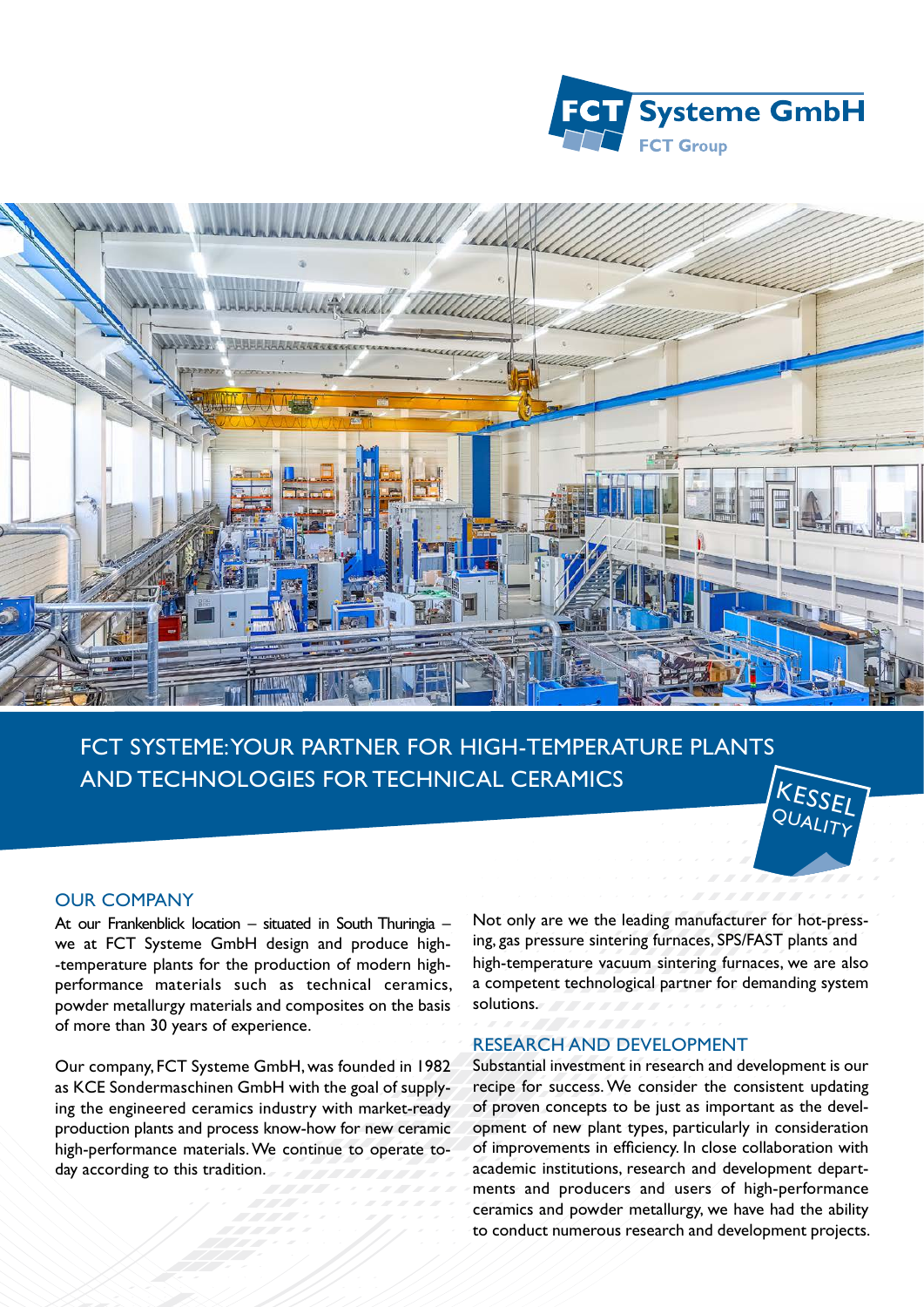



FCT SYSTEME: YOUR PARTNER FOR HIGH-TEMPERATURE PLANTS AND TECHNOLOGIES FOR TECHNICAL CERAMICS



## OUR COMPANY

At our Frankenblick location – situated in South Thuringia – we at FCT Systeme GmbH design and produce high- -temperature plants for the production of modern highperformance materials such as technical ceramics, powder metallurgy materials and composites on the basis of more than 30 years of experience.

Our company, FCT Systeme GmbH, was founded in 1982 as KCE Sondermaschinen GmbH with the goal of supplying the engineered ceramics industry with market-ready production plants and process know-how for new ceramic high-performance materials. We continue to operate today according to this tradition.

Not only are we the leading manufacturer for hot-pressing, gas pressure sintering furnaces, SPS/FAST plants and high-temperature vacuum sintering furnaces, we are also a competent technological partner for demanding system solutions.

## RESEARCH AND DEVELOPMENT

Substantial investment in research and development is our recipe for success. We consider the consistent updating of proven concepts to be just as important as the development of new plant types, particularly in consideration of improvements in efficiency. In close collaboration with academic institutions, research and development departments and producers and users of high-performance ceramics and powder metallurgy, we have had the ability to conduct numerous research and development projects.